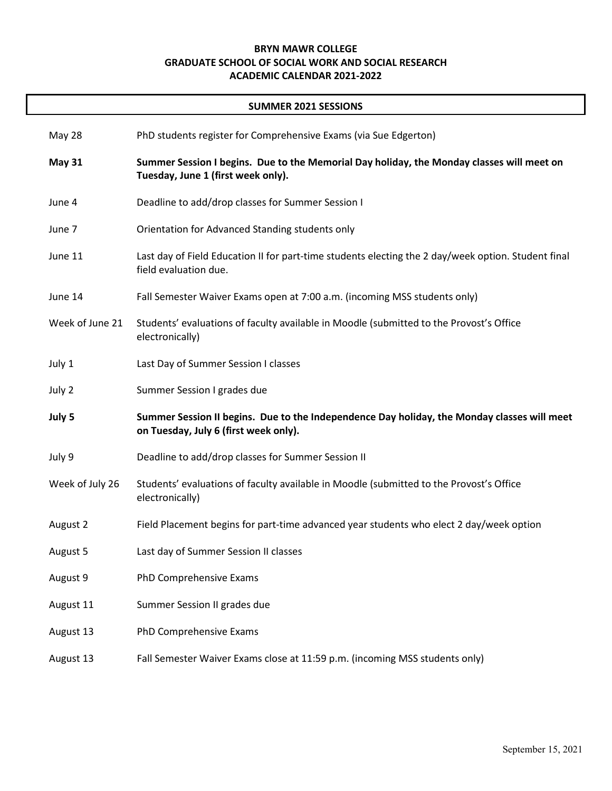## **BRYN MAWR COLLEGE GRADUATE SCHOOL OF SOCIAL WORK AND SOCIAL RESEARCH ACADEMIC CALENDAR 2021-2022**

## **SUMMER 2021 SESSIONS**

| May 28          | PhD students register for Comprehensive Exams (via Sue Edgerton)                                                                     |
|-----------------|--------------------------------------------------------------------------------------------------------------------------------------|
| <b>May 31</b>   | Summer Session I begins. Due to the Memorial Day holiday, the Monday classes will meet on<br>Tuesday, June 1 (first week only).      |
| June 4          | Deadline to add/drop classes for Summer Session I                                                                                    |
| June 7          | Orientation for Advanced Standing students only                                                                                      |
| June 11         | Last day of Field Education II for part-time students electing the 2 day/week option. Student final<br>field evaluation due.         |
| June 14         | Fall Semester Waiver Exams open at 7:00 a.m. (incoming MSS students only)                                                            |
| Week of June 21 | Students' evaluations of faculty available in Moodle (submitted to the Provost's Office<br>electronically)                           |
| July 1          | Last Day of Summer Session I classes                                                                                                 |
| July 2          | Summer Session I grades due                                                                                                          |
| July 5          | Summer Session II begins. Due to the Independence Day holiday, the Monday classes will meet<br>on Tuesday, July 6 (first week only). |
| July 9          | Deadline to add/drop classes for Summer Session II                                                                                   |
| Week of July 26 | Students' evaluations of faculty available in Moodle (submitted to the Provost's Office<br>electronically)                           |
| August 2        | Field Placement begins for part-time advanced year students who elect 2 day/week option                                              |
| August 5        | Last day of Summer Session II classes                                                                                                |
| August 9        | PhD Comprehensive Exams                                                                                                              |
| August 11       | Summer Session II grades due                                                                                                         |
| August 13       | PhD Comprehensive Exams                                                                                                              |
| August 13       | Fall Semester Waiver Exams close at 11:59 p.m. (incoming MSS students only)                                                          |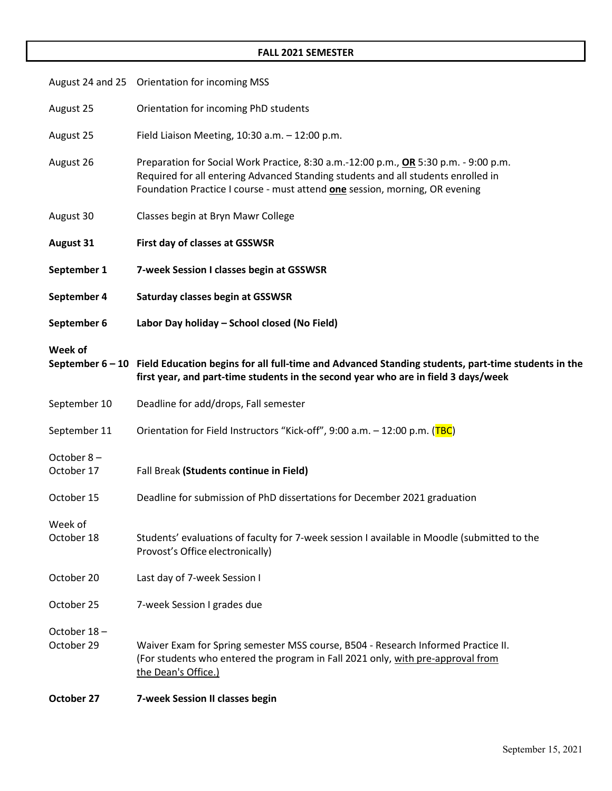## **FALL 2021 SEMESTER**

|                           | August 24 and 25 Orientation for incoming MSS                                                                                                                                                                                                                   |
|---------------------------|-----------------------------------------------------------------------------------------------------------------------------------------------------------------------------------------------------------------------------------------------------------------|
| August 25                 | Orientation for incoming PhD students                                                                                                                                                                                                                           |
| August 25                 | Field Liaison Meeting, 10:30 a.m. - 12:00 p.m.                                                                                                                                                                                                                  |
| August 26                 | Preparation for Social Work Practice, 8:30 a.m.-12:00 p.m., OR 5:30 p.m. - 9:00 p.m.<br>Required for all entering Advanced Standing students and all students enrolled in<br>Foundation Practice I course - must attend <b>one</b> session, morning, OR evening |
| August 30                 | Classes begin at Bryn Mawr College                                                                                                                                                                                                                              |
| <b>August 31</b>          | First day of classes at GSSWSR                                                                                                                                                                                                                                  |
| September 1               | 7-week Session I classes begin at GSSWSR                                                                                                                                                                                                                        |
| September 4               | Saturday classes begin at GSSWSR                                                                                                                                                                                                                                |
| September 6               | Labor Day holiday - School closed (No Field)                                                                                                                                                                                                                    |
| Week of                   | September 6 - 10 Field Education begins for all full-time and Advanced Standing students, part-time students in the<br>first year, and part-time students in the second year who are in field 3 days/week                                                       |
| September 10              | Deadline for add/drops, Fall semester                                                                                                                                                                                                                           |
| September 11              | Orientation for Field Instructors "Kick-off", 9:00 a.m. - 12:00 p.m. (TBC)                                                                                                                                                                                      |
| October 8-<br>October 17  | Fall Break (Students continue in Field)                                                                                                                                                                                                                         |
| October 15                | Deadline for submission of PhD dissertations for December 2021 graduation                                                                                                                                                                                       |
| Week of<br>October 18     | Students' evaluations of faculty for 7-week session I available in Moodle (submitted to the<br>Provost's Office electronically)                                                                                                                                 |
| October 20                | Last day of 7-week Session I                                                                                                                                                                                                                                    |
| October 25                | 7-week Session I grades due                                                                                                                                                                                                                                     |
| October 18-<br>October 29 | Waiver Exam for Spring semester MSS course, B504 - Research Informed Practice II.<br>(For students who entered the program in Fall 2021 only, with pre-approval from<br>the Dean's Office.)                                                                     |
| October 27                | 7-week Session II classes begin                                                                                                                                                                                                                                 |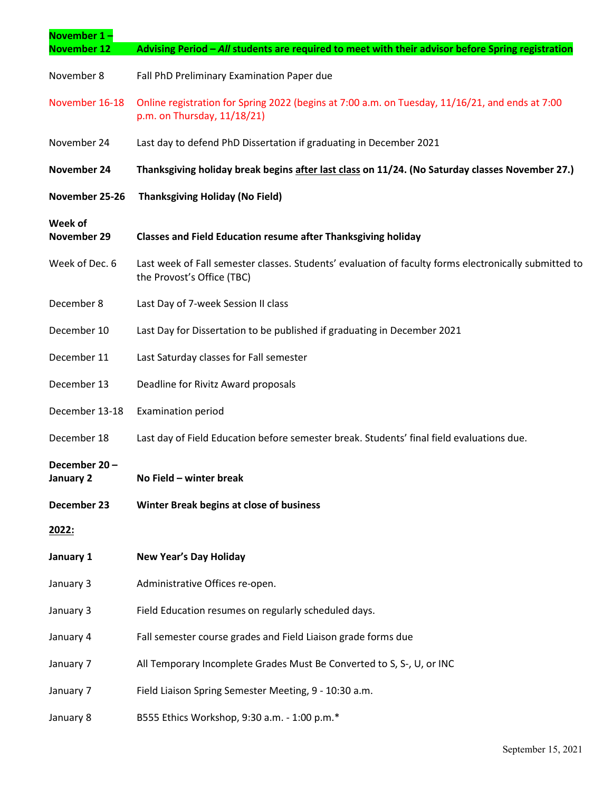| November $1 -$            |                                                                                                                                     |
|---------------------------|-------------------------------------------------------------------------------------------------------------------------------------|
| <b>November 12</b>        | Advising Period - All students are required to meet with their advisor before Spring registration                                   |
| November 8                | Fall PhD Preliminary Examination Paper due                                                                                          |
| November 16-18            | Online registration for Spring 2022 (begins at 7:00 a.m. on Tuesday, 11/16/21, and ends at 7:00<br>p.m. on Thursday, 11/18/21)      |
| November 24               | Last day to defend PhD Dissertation if graduating in December 2021                                                                  |
| November 24               | Thanksgiving holiday break begins after last class on 11/24. (No Saturday classes November 27.)                                     |
| November 25-26            | <b>Thanksgiving Holiday (No Field)</b>                                                                                              |
| Week of<br>November 29    | <b>Classes and Field Education resume after Thanksgiving holiday</b>                                                                |
| Week of Dec. 6            | Last week of Fall semester classes. Students' evaluation of faculty forms electronically submitted to<br>the Provost's Office (TBC) |
| December 8                | Last Day of 7-week Session II class                                                                                                 |
| December 10               | Last Day for Dissertation to be published if graduating in December 2021                                                            |
| December 11               | Last Saturday classes for Fall semester                                                                                             |
| December 13               | Deadline for Rivitz Award proposals                                                                                                 |
| December 13-18            | <b>Examination period</b>                                                                                                           |
| December 18               | Last day of Field Education before semester break. Students' final field evaluations due.                                           |
| December 20-<br>January 2 | No Field - winter break                                                                                                             |
| December 23               | Winter Break begins at close of business                                                                                            |
| 2022:                     |                                                                                                                                     |
| January 1                 | <b>New Year's Day Holiday</b>                                                                                                       |
| January 3                 | Administrative Offices re-open.                                                                                                     |
| January 3                 | Field Education resumes on regularly scheduled days.                                                                                |
| January 4                 | Fall semester course grades and Field Liaison grade forms due                                                                       |
| January 7                 | All Temporary Incomplete Grades Must Be Converted to S, S-, U, or INC                                                               |
| January 7                 | Field Liaison Spring Semester Meeting, 9 - 10:30 a.m.                                                                               |
| January 8                 | B555 Ethics Workshop, 9:30 a.m. - 1:00 p.m.*                                                                                        |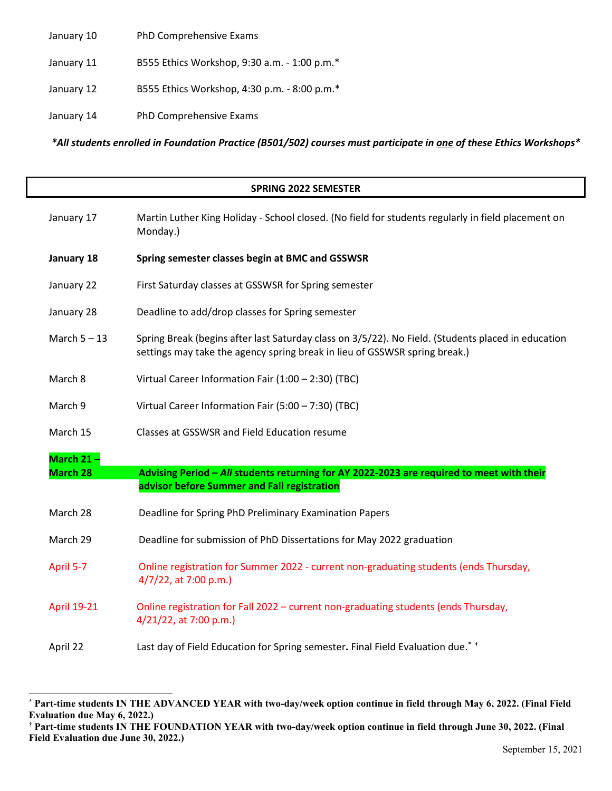January 10 PhD Comprehensive Exams

- January 11 B555 Ethics Workshop, 9:30 a.m. 1:00 p.m.\*
- January 12 B555 Ethics Workshop, 4:30 p.m. 8:00 p.m.\*
- January 14 PhD Comprehensive Exams

*\*All students enrolled in Foundation Practice (B501/502) courses must participate in one of these Ethics Workshops\**

## **SPRING 2022 SEMESTER** January 17 Martin Luther King Holiday - School closed. (No field for students regularly in field placement on Monday.) **January 18 Spring semester classes begin at BMC and GSSWSR** January 22 First Saturday classes at GSSWSR for Spring semester January 28 Deadline to add/drop classes for Spring semester March  $5 - 13$  Spring Break (begins after last Saturday class on  $3/5/22$ ). No Field. (Students placed in education settings may take the agency spring break in lieu of GSSWSR spring break.) March 8 Virtual Career Information Fair (1:00 – 2:30) (TBC) March 9 Virtual Career Information Fair (5:00 – 7:30) (TBC) March 15 Classes at GSSWSR and Field Education resume **March 21 – March 28 Advising Period –** *All* **students returning for AY 2022-2023 are required to meet with their advisor before Summer and Fall registration** March 28 Deadline for Spring PhD Preliminary Examination Papers March 29 Deadline for submission of PhD Dissertations for May 2022 graduation April 5-7 Online registration for Summer 2022 - current non-graduating students (ends Thursday, 4/7/22, at 7:00 p.m.) April 19-21 Online registration for Fall 2022 – current non-graduating students (ends Thursday, 4/21/22, at 7:00 p.m.) April 22 Last day of Field Education for Spring semester**.** Final Field Evaluation due.**[\\*](#page-3-0) [†](#page-3-1)**

<span id="page-3-0"></span>**<sup>\*</sup> Part-time students IN THE ADVANCED YEAR with two-day/week option continue in field through May 6, 2022. (Final Field Evaluation due May 6, 2022.)**

<span id="page-3-1"></span><sup>†</sup> **Part-time students IN THE FOUNDATION YEAR with two-day/week option continue in field through June 30, 2022. (Final Field Evaluation due June 30, 2022.)**